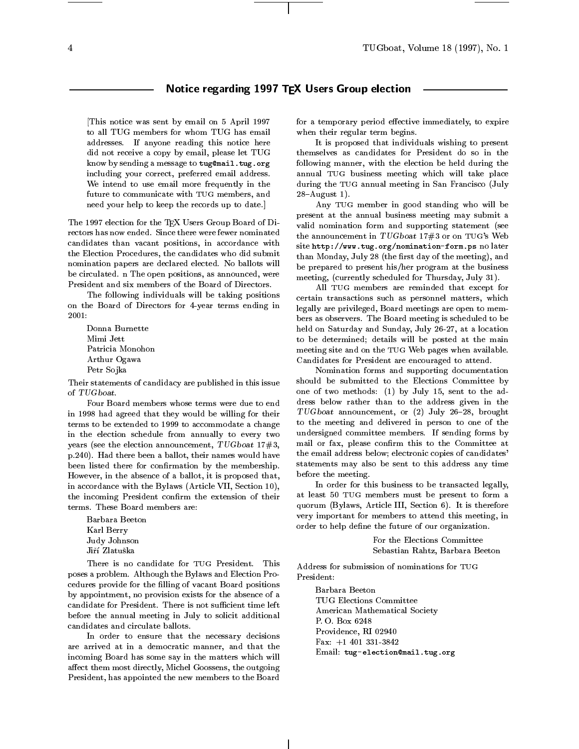# Notice regarding 1997 TEX Users Group election

[This notice was sent by email on 5 April 1997 to all TUG members for whom TUG has email addresses. If anyone reading this notice here did not receive a copy by email, please let TUG know by sending a message to tug@mail.tug.org including your correct, preferred email address. We intend to use email more frequently in the future to communicate with TUG members, and need your help to keep the records up to date.]

The 1997 election for the TEX Users Group Board of Directors has now ended. Since there were fewer nominated candidates than vacant positions, in accordance with the Election Procedures, the candidates who did submit nomination papers are declared elected. No ballots will be circulated. n The open positions, as announced, were President and six members of the Board of Directors.

The following individuals will be taking positions on the Board of Directors for 4-year terms ending in  $2001:$ 

Donna Burnette Mimi Jett Patricia Monohon Arthur Ogawa Petr Sojka

Their statements of candidacy are published in this issue of TUGboat.

Four Board members whose terms were due to end in 1998 had agreed that they would be willing for their terms to be extended to 1999 to accommodate a change in the election schedule from annually to every two years (see the election announcement, TUGboat 17#3, p.240). Had there been a ballot, their names would have been listed there for confirmation by the membership. However, in the absence of a ballot, it is proposed that, in accordance with the Bylaws (Article VII, Section 10), the incoming President confirm the extension of their terms. These Board members are:

Karl Berry Judy Johnson Jiří Zlatuška

There is no candidate for TUG President. This poses a problem. Although the Bylaws and Election Procedures provide for the filling of vacant Board positions by appointment, no provision exists for the absence of a candidate for President. There is not sufficient time left before the annual meeting in July to solicit additional candidates and circulate ballots.

In order to ensure that the necessary decisions are arrived at in a democratic manner, and that the incoming Board has some say in the matters which will affect them most directly, Michel Goossens, the outgoing President, has appointed the new members to the Board

for a temporary period effective immediately, to expire when their regular term begins.

It is proposed that individuals wishing to present themselves as candidates for President do so in the following manner, with the election be held during the annual TUG business meeting which will take place during the TUG annual meeting in San Francisco (July  $28 -$ August 1).

Any TUG member in good standing who will be present at the annual business meeting may submit a valid nomination form and supporting statement (see the announcement in  $TUGboat$  17#3 or on TUG's Web site http://www.tug.org/nomination-form.ps no later than Monday, July 28 (the first day of the meeting), and be prepared to present his/her program at the business meeting, (currently scheduled for Thursday, July 31).

All TUG members are reminded that except for certain transactions such as personnel matters, which legally are privileged, Board meetings are open to members as observers. The Board meeting is scheduled to be held on Saturday and Sunday, July 26-27, at a location to be determined; details will be posted at the main meeting site and on the TUG Web pages when available. Candidates for President are encouraged to attend.

Nomination forms and supporting documentation should be submitted to the Elections Committee by one of two methods: (1) by July 15, sent to the address below rather than to the address given in the  $TUGboat$  announcement, or  $(2)$  July 26-28, brought to the meeting and delivered in person to one of the undersigned committee members. If sending forms by mail or fax, please confirm this to the Committee at the email address below; electronic copies of candidates' statements may also be sent to this address any time before the meeting.

In order for this business to be transacted legally, at least 50 TUG members must be present to form a quorum (Bylaws, Article III, Section 6). It is therefore very important for members to attend this meeting, in order to help define the future of our organization.

> For the Elections Committee Sebastian Rahtz, Barbara Beeton

Address for submission of nominations for TUG President ·

TUG Elections Committee American Mathematical Society P. O. Box 6248 Providence, RI 02940 Fax:  $+1$  401 331-3842 Fax: +1 401-3842 +1 401-3842 +1 401-3842 +1 401-3842 +1 401-3842 +1 401-3842 +1 401-3842 +1 401-3842 +1 401-38 Email: tug-election@mail.tug.org

 $\overline{4}$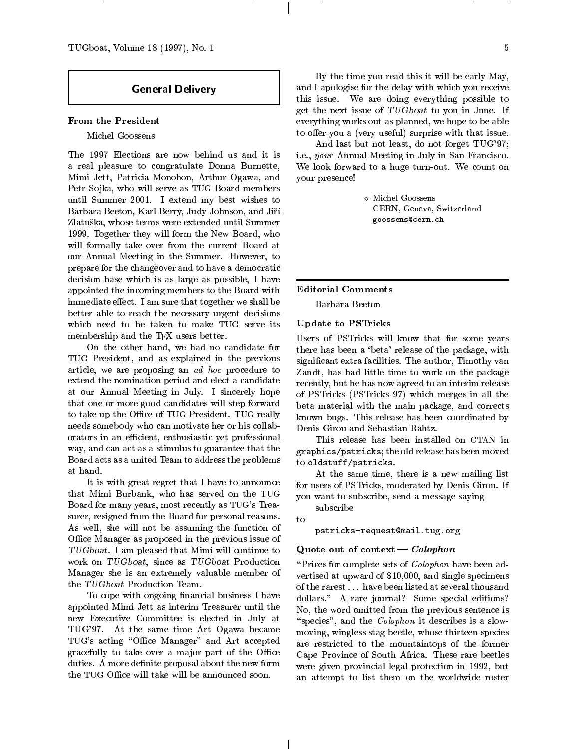TUGboat, Volume 18 (1997), No. 1  $\qquad 5$ 

# General Delivery

# From the President

## Michel Goossens

The 1997 Elections are now behind us and it is a real pleasure to congratulate Donna Burnette, Mimi Jett, Patricia Monohon, Arthur Ogawa, and Petr Sojka, who will serve as TUG Board members until Summer 2001. I extend my best wishes to Barbara Beeton, Karl Berry, Judy Johnson, and Jir Zlatuska, whose terms were extended until Summer 1999. Together they will form the New Board, who will formally take over from the current Board at our Annual Meeting in the Summer. However, to prepare for the changeover and to have a democratic decision base which is as large as possible, I have appointed the incoming members to the Board with immediate effect. I am sure that together we shall be better able to reach the necessary urgent decisions which need to be taken to make TUG serve its membership and the T<sub>E</sub>X users better.

On the other hand, we had no candidate for TUG President, and as explained in the previous article, we are proposing an ad hoc procedure to extend the nomination period and elect a candidate at our Annual Meeting in July. I sincerely hope that one or more good candidates will step forward to take up the Office of TUG President. TUG really needs somebody who can motivate her or his collaborators in an efficient, enthusiastic yet professional way, and can act as a stimulus to guarantee that the Board acts as a united Team to address the problems at hand.

It is with great regret that I have to announce that Mimi Burbank, who has served on the TUG Board for many years, most recently as TUG's Treasurer, resigned from the Board for personal reasons.  $\qquad$  to As well, she will not be assuming the function of Office Manager as proposed in the previous issue of TUGboat. I am pleased that Mimi will continue to work on TUGboat, since as TUGboat Production Manager she is an extremely valuable member of the TUGboat Production Team.

To cope with ongoing financial business I have appointed Mimi Jett as interim Treasurer until the new Executive Committee is elected in July at TUG'97. At the same time Art Ogawa became TUG's acting "Office Manager" and Art accepted gracefully to take over a major part of the Office duties. A more definite proposal about the new form the TUG Office will take will be announced soon.

By the time you read this it will be early May, and I apologise for the delay with which you receive this issue. We are doing everything possible to get the next issue of TUGboat to you in June. If everything works out as planned, we hope to be able to offer you a (very useful) surprise with that issue.

And last but not least, do not forget TUG'97; i.e., your Annual Meeting in July in San Francisco. We look forward to a huge turn-out. We count on your presence!

> CERN, Geneva, Switzerland goossens@cern.ch

Editorial Comments

Barbara Beeton

# Update to PSTricks

Users of PSTricks will know that for some years there has been a 'beta' release of the package, with signicant extra facilities. The author, Timothy van Zandt, has had little time to work on the package recently, but he has now agreed to an interim release of PSTricks (PSTricks 97) which merges in all the beta material with the main package, and corrects known bugs. This release has been coordinated by Denis Girou and Sebastian Rahtz.

This release has been installed on CTAN in graphics/pstricks; the old release has been moved to oldstuff/pstricks.

At the same time, there is a new mailing list for users of PSTricks, moderated by Denis Girou. If you want to subscribe, send a message saying

subscribe

pstricks-request@mail.tug.org

# Quote out of context  $\sim$  Colophon

"Prices for complete sets of  $\emph{Colophon}$  have been advertised at upward of \$10,000, and single specimens of the rarest . . . have been listed at several thousand dollars." A rare journal? Some special editions? No, the word omitted from the previous sentence is "species", and the *Colophon* it describes is a slowmoving, wingless stag beetle, whose thirteen species are restricted to the mountaintops of the former Cape Province of South Africa. These rare beetles were given provincial legal protection in 1992, but an attempt to list them on the worldwide roster